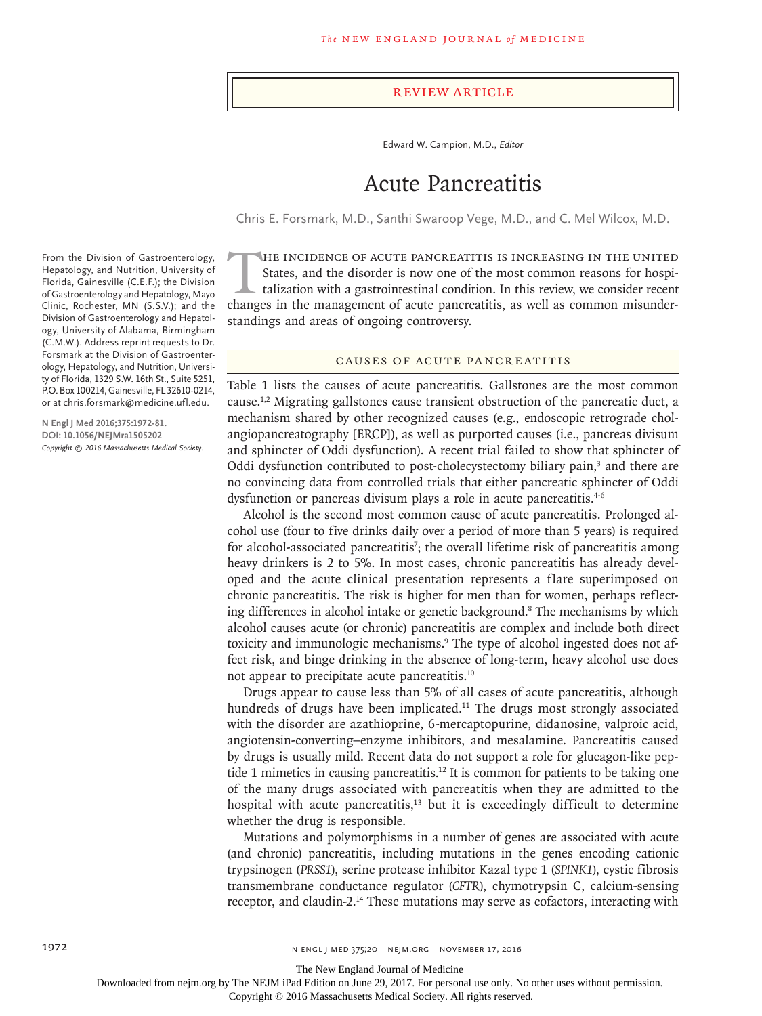#### Review Article

Edward W. Campion, M.D., *Editor*

# Acute Pancreatitis

Chris E. Forsmark, M.D., Santhi Swaroop Vege, M.D., and C. Mel Wilcox, M.D.

THE INCIDENCE OF ACUTE PANCREATITIS IS INCREASING IN THE UNITED<br>States, and the disorder is now one of the most common reasons for hospi-<br>talization with a gastrointestinal condition. In this review, we consider recent<br>cha States, and the disorder is now one of the most common reasons for hospitalization with a gastrointestinal condition. In this review, we consider recent changes in the management of acute pancreatitis, as well as common misunderstandings and areas of ongoing controversy.

# Causes of Acute Pancreatitis

Table 1 lists the causes of acute pancreatitis. Gallstones are the most common cause.1,2 Migrating gallstones cause transient obstruction of the pancreatic duct, a mechanism shared by other recognized causes (e.g., endoscopic retrograde cholangiopancreatography [ERCP]), as well as purported causes (i.e., pancreas divisum and sphincter of Oddi dysfunction). A recent trial failed to show that sphincter of Oddi dysfunction contributed to post-cholecystectomy biliary pain,<sup>3</sup> and there are no convincing data from controlled trials that either pancreatic sphincter of Oddi dysfunction or pancreas divisum plays a role in acute pancreatitis.<sup>4-6</sup>

Alcohol is the second most common cause of acute pancreatitis. Prolonged alcohol use (four to five drinks daily over a period of more than 5 years) is required for alcohol-associated pancreatitis<sup>7</sup>; the overall lifetime risk of pancreatitis among heavy drinkers is 2 to 5%. In most cases, chronic pancreatitis has already developed and the acute clinical presentation represents a flare superimposed on chronic pancreatitis. The risk is higher for men than for women, perhaps reflecting differences in alcohol intake or genetic background.<sup>8</sup> The mechanisms by which alcohol causes acute (or chronic) pancreatitis are complex and include both direct toxicity and immunologic mechanisms.<sup>9</sup> The type of alcohol ingested does not affect risk, and binge drinking in the absence of long-term, heavy alcohol use does not appear to precipitate acute pancreatitis.10

Drugs appear to cause less than 5% of all cases of acute pancreatitis, although hundreds of drugs have been implicated.<sup>11</sup> The drugs most strongly associated with the disorder are azathioprine, 6-mercaptopurine, didanosine, valproic acid, angiotensin-converting–enzyme inhibitors, and mesalamine. Pancreatitis caused by drugs is usually mild. Recent data do not support a role for glucagon-like peptide 1 mimetics in causing pancreatitis.<sup>12</sup> It is common for patients to be taking one of the many drugs associated with pancreatitis when they are admitted to the hospital with acute pancreatitis, $13$  but it is exceedingly difficult to determine whether the drug is responsible.

Mutations and polymorphisms in a number of genes are associated with acute (and chronic) pancreatitis, including mutations in the genes encoding cationic trypsinogen (*PRSS1*), serine protease inhibitor Kazal type 1 (*SPINK1*), cystic fibrosis transmembrane conductance regulator (*CFTR*), chymotrypsin C, calcium-sensing receptor, and claudin-2.14 These mutations may serve as cofactors, interacting with

From the Division of Gastroenterology, Hepatology, and Nutrition, University of Florida, Gainesville (C.E.F.); the Division of Gastroenterology and Hepatology, Mayo Clinic, Rochester, MN (S.S.V.); and the Division of Gastroenterology and Hepatology, University of Alabama, Birmingham (C.M.W.). Address reprint requests to Dr. Forsmark at the Division of Gastroenterology, Hepatology, and Nutrition, University of Florida, 1329 S.W. 16th St., Suite 5251, P.O. Box 100214, Gainesville, FL 32610-0214, or at chris.forsmark@medicine.ufl.edu.

**N Engl J Med 2016;375:1972-81. DOI: 10.1056/NEJMra1505202** *Copyright © 2016 Massachusetts Medical Society.*

The New England Journal of Medicine

Downloaded from nejm.org by The NEJM iPad Edition on June 29, 2017. For personal use only. No other uses without permission.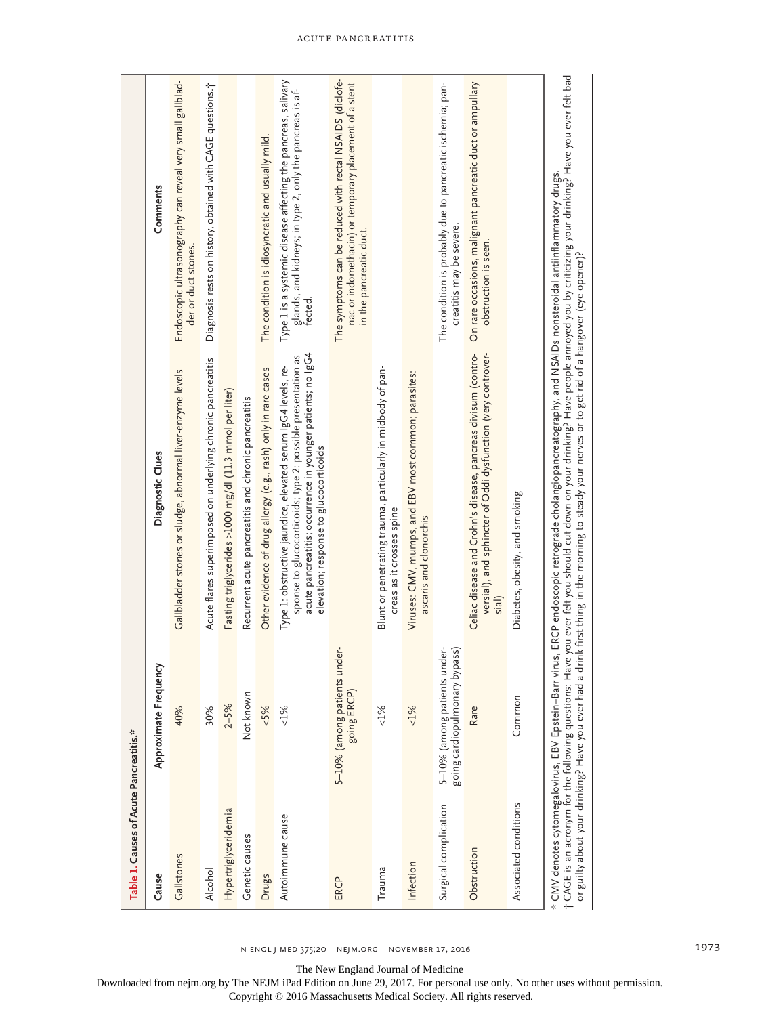| Table 1. Causes of Acute Pancreatitis.* |                                                               |                                                                                                                                                                                                                                       |                                                                                                                                               |
|-----------------------------------------|---------------------------------------------------------------|---------------------------------------------------------------------------------------------------------------------------------------------------------------------------------------------------------------------------------------|-----------------------------------------------------------------------------------------------------------------------------------------------|
| Cause                                   | Approximate Frequency                                         | Diagnostic Clues                                                                                                                                                                                                                      | Comments                                                                                                                                      |
| Gallstones                              | 40%                                                           | Gallbladder stones or sludge, abnormal liver-enzyme levels                                                                                                                                                                            | Endoscopic ultrasonography can reveal very small gallblad-<br>der or duct stones.                                                             |
| Alcohol                                 | 30%                                                           | Acute flares superimposed on underlying chronic pancreatitis                                                                                                                                                                          | Diagnosis rests on history, obtained with CAGE questions.j                                                                                    |
| Hypertriglyceridemia                    | $2 - 5%$                                                      | Fasting triglycerides >1000 mg/dl (11.3 mmol per liter)                                                                                                                                                                               |                                                                                                                                               |
| Genetic causes                          | Not known                                                     | Recurrent acute pancreatitis and chronic pancreatitis                                                                                                                                                                                 |                                                                                                                                               |
| Drugs                                   | 5%                                                            | Other evidence of drug allergy (e.g., rash) only in rare cases                                                                                                                                                                        | The condition is idiosyncratic and usually mild.                                                                                              |
| Autoimmune cause                        | $< 1\%$                                                       | acute pancreatitis; occurrence in younger patients; no IgG4<br>sponse to glucocorticoids; type 2: possible presentation as<br>Type 1: obstructive jaundice, elevated serum IgG4 levels, re-<br>elevation; response to glucocorticoids | Type 1 is a systemic disease affecting the pancreas, salivary<br>glands, and kidneys; in type 2, only the pancreas is af-<br>fected           |
| ERCP                                    | under-<br>5-10% (among patients<br>going ERCP)                |                                                                                                                                                                                                                                       | The symptoms can be reduced with rectal NSAIDS (diclofe-<br>nac or indomethacin) or temporary placement of a stent<br>in the pancreatic duct. |
| Trauma                                  | $< 1\%$                                                       | Blunt or penetrating trauma, particularly in midbody of pan-<br>creas as it crosses spine                                                                                                                                             |                                                                                                                                               |
| Infection                               | $< 1\%$                                                       | Viruses: CMV, mumps, and EBV most common; parasites:<br>ascaris and clonorchis                                                                                                                                                        |                                                                                                                                               |
| Surgical complication                   | 5-10% (among patients under-<br>going cardiopulmonary bypass) |                                                                                                                                                                                                                                       | The condition is probably due to pancreatic ischemia; pan-<br>creatitis may be severe.                                                        |
| Obstruction                             | Rare                                                          | Celiac disease and Crohn's disease, pancreas divisum (contro-<br>versial), and sphincter of Oddi dysfunction (very controver-<br>siall                                                                                                | On rare occasions, malignant pancreatic duct or ampullary<br>obstruction is seen.                                                             |
| Associated conditions                   | Common                                                        | Diabetes, obesity, and smoking                                                                                                                                                                                                        |                                                                                                                                               |
|                                         |                                                               | * CMV denotes cytomegalovirus, EBV Epstein–Barr virus, ERCP endoscopic retrograde cholangiopancreatography, and NSAIDs nonsteroidal antiinflammatory drugs.<br>† CAGE is an acronym for the following questions: Have you ever fe     |                                                                                                                                               |

The New England Journal of Medicine

Downloaded from nejm.org by The NEJM iPad Edition on June 29, 2017. For personal use only. No other uses without permission.

Copyright © 2016 Massachusetts Medical Society. All rights reserved.

Acute Pancreatitis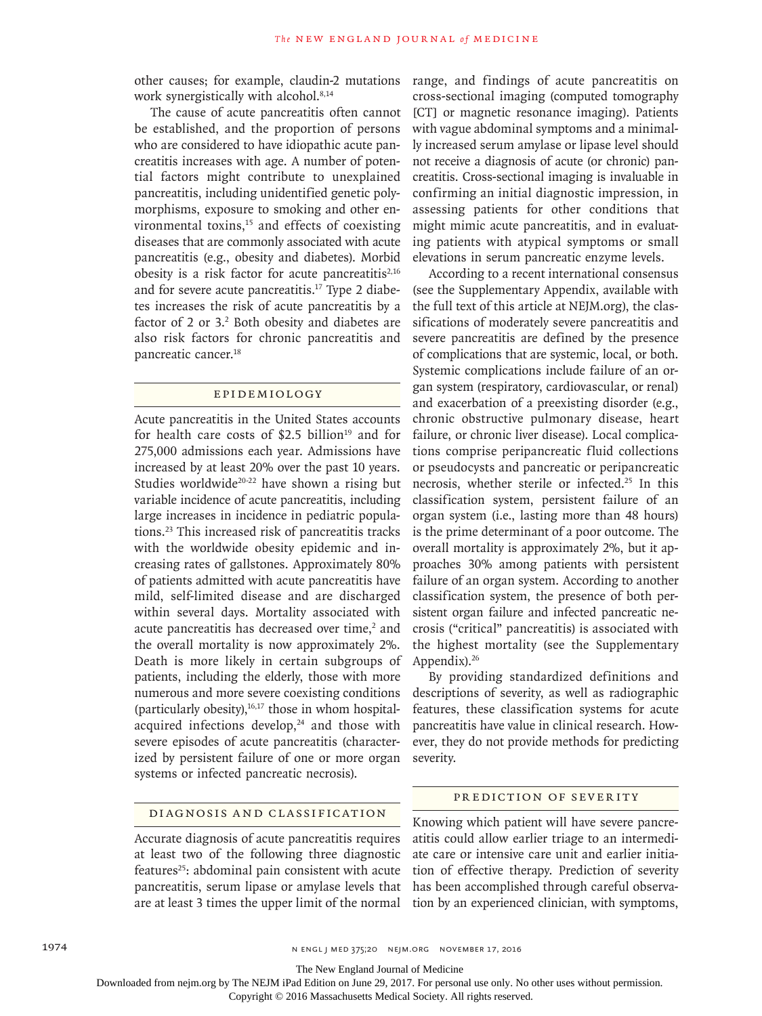other causes; for example, claudin-2 mutations work synergistically with alcohol.<sup>8,14</sup>

The cause of acute pancreatitis often cannot be established, and the proportion of persons who are considered to have idiopathic acute pancreatitis increases with age. A number of potential factors might contribute to unexplained pancreatitis, including unidentified genetic polymorphisms, exposure to smoking and other environmental toxins, $15$  and effects of coexisting diseases that are commonly associated with acute pancreatitis (e.g., obesity and diabetes). Morbid obesity is a risk factor for acute pancreatitis<sup>2,16</sup> and for severe acute pancreatitis.17 Type 2 diabetes increases the risk of acute pancreatitis by a factor of 2 or 3.<sup>2</sup> Both obesity and diabetes are also risk factors for chronic pancreatitis and pancreatic cancer.18

## Epidemiology

Acute pancreatitis in the United States accounts for health care costs of  $$2.5$  billion<sup>19</sup> and for 275,000 admissions each year. Admissions have increased by at least 20% over the past 10 years. Studies worldwide<sup>20-22</sup> have shown a rising but variable incidence of acute pancreatitis, including large increases in incidence in pediatric populations.23 This increased risk of pancreatitis tracks with the worldwide obesity epidemic and increasing rates of gallstones. Approximately 80% of patients admitted with acute pancreatitis have mild, self-limited disease and are discharged within several days. Mortality associated with acute pancreatitis has decreased over time, $2$  and the overall mortality is now approximately 2%. Death is more likely in certain subgroups of patients, including the elderly, those with more numerous and more severe coexisting conditions (particularly obesity), $16,17$  those in whom hospitalacquired infections develop, $24$  and those with severe episodes of acute pancreatitis (characterized by persistent failure of one or more organ systems or infected pancreatic necrosis).

range, and findings of acute pancreatitis on cross-sectional imaging (computed tomography [CT] or magnetic resonance imaging). Patients with vague abdominal symptoms and a minimally increased serum amylase or lipase level should not receive a diagnosis of acute (or chronic) pancreatitis. Cross-sectional imaging is invaluable in confirming an initial diagnostic impression, in assessing patients for other conditions that might mimic acute pancreatitis, and in evaluating patients with atypical symptoms or small elevations in serum pancreatic enzyme levels.

According to a recent international consensus (see the Supplementary Appendix, available with the full text of this article at NEJM.org), the classifications of moderately severe pancreatitis and severe pancreatitis are defined by the presence of complications that are systemic, local, or both. Systemic complications include failure of an organ system (respiratory, cardiovascular, or renal) and exacerbation of a preexisting disorder (e.g., chronic obstructive pulmonary disease, heart failure, or chronic liver disease). Local complications comprise peripancreatic fluid collections or pseudocysts and pancreatic or peripancreatic necrosis, whether sterile or infected.25 In this classification system, persistent failure of an organ system (i.e., lasting more than 48 hours) is the prime determinant of a poor outcome. The overall mortality is approximately 2%, but it approaches 30% among patients with persistent failure of an organ system. According to another classification system, the presence of both persistent organ failure and infected pancreatic necrosis ("critical" pancreatitis) is associated with the highest mortality (see the Supplementary Appendix).<sup>26</sup>

By providing standardized definitions and descriptions of severity, as well as radiographic features, these classification systems for acute pancreatitis have value in clinical research. However, they do not provide methods for predicting severity.

## Diagnosis and Classification

Accurate diagnosis of acute pancreatitis requires at least two of the following three diagnostic features<sup>25</sup>: abdominal pain consistent with acute pancreatitis, serum lipase or amylase levels that are at least 3 times the upper limit of the normal

#### PREDICTION OF SEVERITY

Knowing which patient will have severe pancreatitis could allow earlier triage to an intermediate care or intensive care unit and earlier initiation of effective therapy. Prediction of severity has been accomplished through careful observation by an experienced clinician, with symptoms,

1974 **n engl j med 375;20 NEMGL j med 375;20 NEJM.ORG NOVEMBER 17, 2016** 

The New England Journal of Medicine

Downloaded from nejm.org by The NEJM iPad Edition on June 29, 2017. For personal use only. No other uses without permission.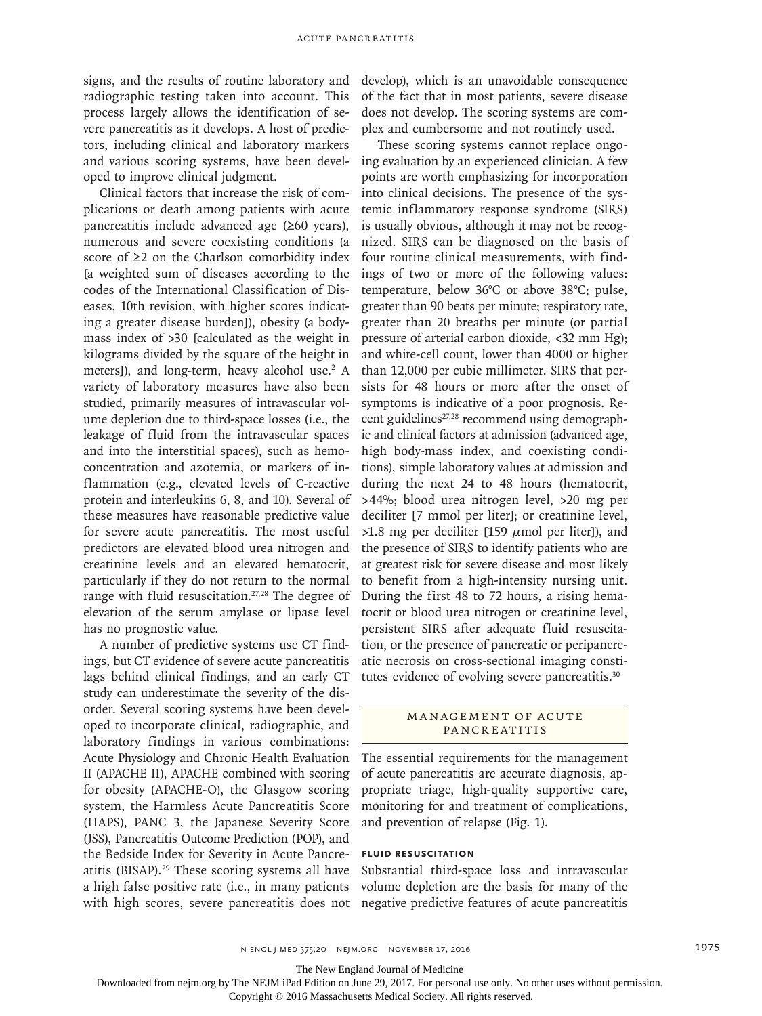signs, and the results of routine laboratory and radiographic testing taken into account. This process largely allows the identification of severe pancreatitis as it develops. A host of predictors, including clinical and laboratory markers and various scoring systems, have been developed to improve clinical judgment.

Clinical factors that increase the risk of complications or death among patients with acute pancreatitis include advanced age (≥60 years), numerous and severe coexisting conditions (a score of ≥2 on the Charlson comorbidity index [a weighted sum of diseases according to the codes of the International Classification of Diseases, 10th revision, with higher scores indicating a greater disease burden]), obesity (a bodymass index of >30 [calculated as the weight in kilograms divided by the square of the height in meters]), and long-term, heavy alcohol use.<sup>2</sup> A variety of laboratory measures have also been studied, primarily measures of intravascular volume depletion due to third-space losses (i.e., the leakage of fluid from the intravascular spaces and into the interstitial spaces), such as hemoconcentration and azotemia, or markers of inflammation (e.g., elevated levels of C-reactive protein and interleukins 6, 8, and 10). Several of these measures have reasonable predictive value for severe acute pancreatitis. The most useful predictors are elevated blood urea nitrogen and creatinine levels and an elevated hematocrit, particularly if they do not return to the normal range with fluid resuscitation.<sup>27,28</sup> The degree of elevation of the serum amylase or lipase level has no prognostic value.

A number of predictive systems use CT findings, but CT evidence of severe acute pancreatitis lags behind clinical findings, and an early CT study can underestimate the severity of the disorder. Several scoring systems have been developed to incorporate clinical, radiographic, and laboratory findings in various combinations: Acute Physiology and Chronic Health Evaluation II (APACHE II), APACHE combined with scoring for obesity (APACHE-O), the Glasgow scoring system, the Harmless Acute Pancreatitis Score (HAPS), PANC 3, the Japanese Severity Score (JSS), Pancreatitis Outcome Prediction (POP), and the Bedside Index for Severity in Acute Pancreatitis (BISAP).<sup>29</sup> These scoring systems all have a high false positive rate (i.e., in many patients with high scores, severe pancreatitis does not develop), which is an unavoidable consequence of the fact that in most patients, severe disease does not develop. The scoring systems are complex and cumbersome and not routinely used.

These scoring systems cannot replace ongoing evaluation by an experienced clinician. A few points are worth emphasizing for incorporation into clinical decisions. The presence of the systemic inflammatory response syndrome (SIRS) is usually obvious, although it may not be recognized. SIRS can be diagnosed on the basis of four routine clinical measurements, with findings of two or more of the following values: temperature, below 36°C or above 38°C; pulse, greater than 90 beats per minute; respiratory rate, greater than 20 breaths per minute (or partial pressure of arterial carbon dioxide, <32 mm Hg); and white-cell count, lower than 4000 or higher than 12,000 per cubic millimeter. SIRS that persists for 48 hours or more after the onset of symptoms is indicative of a poor prognosis. Recent guidelines<sup>27,28</sup> recommend using demographic and clinical factors at admission (advanced age, high body-mass index, and coexisting conditions), simple laboratory values at admission and during the next 24 to 48 hours (hematocrit, >44%; blood urea nitrogen level, >20 mg per deciliter [7 mmol per liter]; or creatinine level,  $>1.8$  mg per deciliter [159  $\mu$ mol per liter]), and the presence of SIRS to identify patients who are at greatest risk for severe disease and most likely to benefit from a high-intensity nursing unit. During the first 48 to 72 hours, a rising hematocrit or blood urea nitrogen or creatinine level, persistent SIRS after adequate fluid resuscitation, or the presence of pancreatic or peripancreatic necrosis on cross-sectional imaging constitutes evidence of evolving severe pancreatitis.<sup>30</sup>

#### MANAGEMENT OF ACUTE **PANCREATITIS**

The essential requirements for the management of acute pancreatitis are accurate diagnosis, appropriate triage, high-quality supportive care, monitoring for and treatment of complications, and prevention of relapse (Fig. 1).

## **Fluid Resuscitation**

Substantial third-space loss and intravascular volume depletion are the basis for many of the negative predictive features of acute pancreatitis

The New England Journal of Medicine

Downloaded from nejm.org by The NEJM iPad Edition on June 29, 2017. For personal use only. No other uses without permission.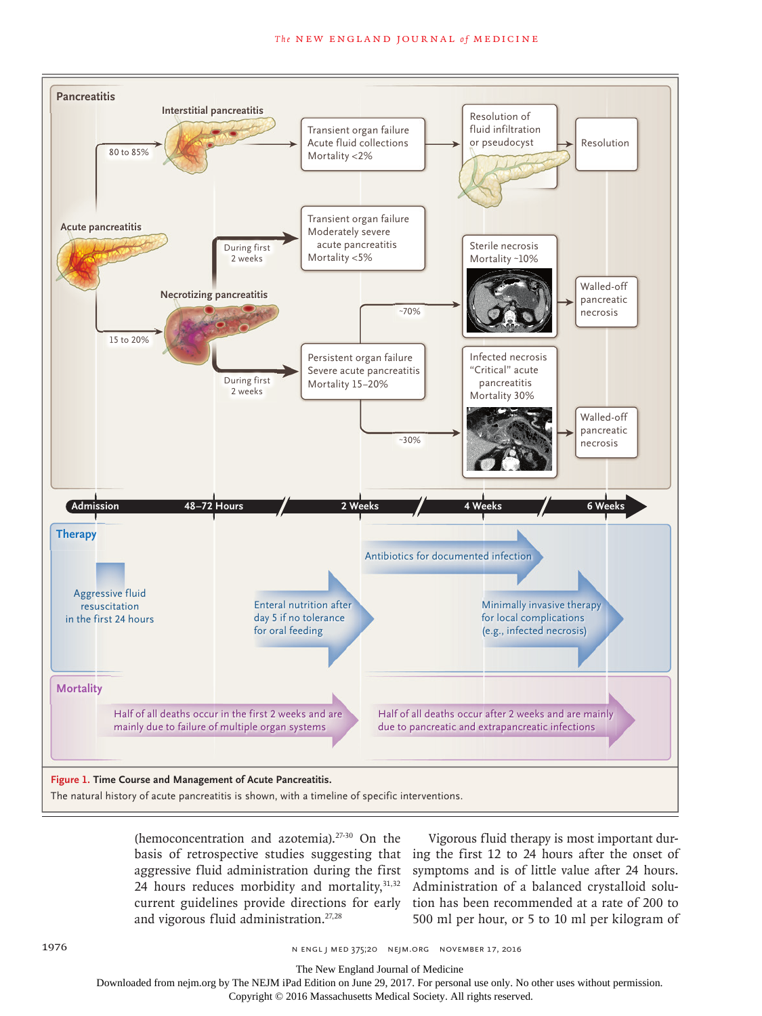

(hemoconcentration and azotemia).27-30 On the basis of retrospective studies suggesting that aggressive fluid administration during the first 24 hours reduces morbidity and mortality, $31,32$ current guidelines provide directions for early and vigorous fluid administration.27,28

Vigorous fluid therapy is most important during the first 12 to 24 hours after the onset of symptoms and is of little value after 24 hours. Administration of a balanced crystalloid solution has been recommended at a rate of 200 to 500 ml per hour, or 5 to 10 ml per kilogram of

The New England Journal of Medicine

Downloaded from nejm.org by The NEJM iPad Edition on June 29, 2017. For personal use only. No other uses without permission.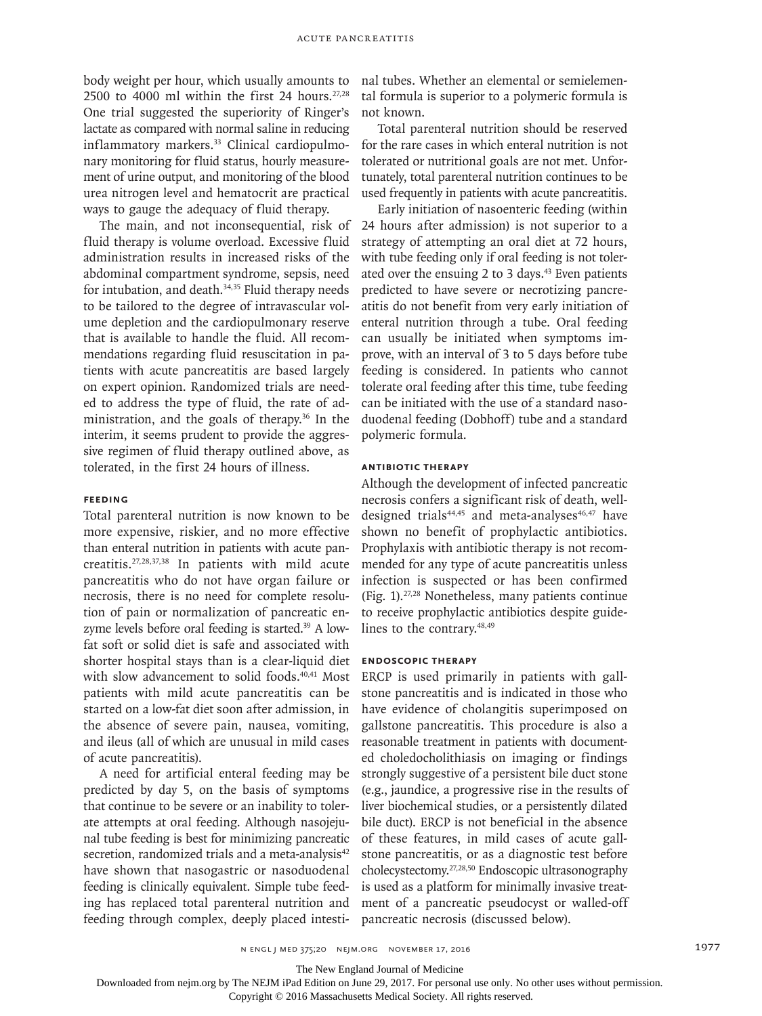body weight per hour, which usually amounts to 2500 to 4000 ml within the first 24 hours. $27,28$ One trial suggested the superiority of Ringer's lactate as compared with normal saline in reducing inflammatory markers.<sup>33</sup> Clinical cardiopulmonary monitoring for fluid status, hourly measurement of urine output, and monitoring of the blood urea nitrogen level and hematocrit are practical ways to gauge the adequacy of fluid therapy.

The main, and not inconsequential, risk of fluid therapy is volume overload. Excessive fluid administration results in increased risks of the abdominal compartment syndrome, sepsis, need for intubation, and death.<sup>34,35</sup> Fluid therapy needs to be tailored to the degree of intravascular volume depletion and the cardiopulmonary reserve that is available to handle the fluid. All recommendations regarding fluid resuscitation in patients with acute pancreatitis are based largely on expert opinion. Randomized trials are needed to address the type of fluid, the rate of administration, and the goals of therapy.36 In the interim, it seems prudent to provide the aggressive regimen of fluid therapy outlined above, as tolerated, in the first 24 hours of illness.

# **Feeding**

Total parenteral nutrition is now known to be more expensive, riskier, and no more effective than enteral nutrition in patients with acute pancreatitis.27,28,37,38 In patients with mild acute pancreatitis who do not have organ failure or necrosis, there is no need for complete resolution of pain or normalization of pancreatic enzyme levels before oral feeding is started.<sup>39</sup> A lowfat soft or solid diet is safe and associated with shorter hospital stays than is a clear-liquid diet with slow advancement to solid foods.<sup>40,41</sup> Most patients with mild acute pancreatitis can be started on a low-fat diet soon after admission, in the absence of severe pain, nausea, vomiting, and ileus (all of which are unusual in mild cases of acute pancreatitis).

A need for artificial enteral feeding may be predicted by day 5, on the basis of symptoms that continue to be severe or an inability to tolerate attempts at oral feeding. Although nasojejunal tube feeding is best for minimizing pancreatic secretion, randomized trials and a meta-analysis<sup>42</sup> have shown that nasogastric or nasoduodenal feeding is clinically equivalent. Simple tube feeding has replaced total parenteral nutrition and feeding through complex, deeply placed intesti-

nal tubes. Whether an elemental or semielemental formula is superior to a polymeric formula is not known.

Total parenteral nutrition should be reserved for the rare cases in which enteral nutrition is not tolerated or nutritional goals are not met. Unfortunately, total parenteral nutrition continues to be used frequently in patients with acute pancreatitis.

Early initiation of nasoenteric feeding (within 24 hours after admission) is not superior to a strategy of attempting an oral diet at 72 hours, with tube feeding only if oral feeding is not tolerated over the ensuing 2 to 3 days.<sup>43</sup> Even patients predicted to have severe or necrotizing pancreatitis do not benefit from very early initiation of enteral nutrition through a tube. Oral feeding can usually be initiated when symptoms improve, with an interval of 3 to 5 days before tube feeding is considered. In patients who cannot tolerate oral feeding after this time, tube feeding can be initiated with the use of a standard nasoduodenal feeding (Dobhoff) tube and a standard polymeric formula.

## **Antibiotic Therapy**

Although the development of infected pancreatic necrosis confers a significant risk of death, welldesigned trials<sup>44,45</sup> and meta-analyses<sup>46,47</sup> have shown no benefit of prophylactic antibiotics. Prophylaxis with antibiotic therapy is not recommended for any type of acute pancreatitis unless infection is suspected or has been confirmed (Fig. 1).27,28 Nonetheless, many patients continue to receive prophylactic antibiotics despite guidelines to the contrary.48,49

### **Endoscopic Therapy**

ERCP is used primarily in patients with gallstone pancreatitis and is indicated in those who have evidence of cholangitis superimposed on gallstone pancreatitis. This procedure is also a reasonable treatment in patients with documented choledocholithiasis on imaging or findings strongly suggestive of a persistent bile duct stone (e.g., jaundice, a progressive rise in the results of liver biochemical studies, or a persistently dilated bile duct). ERCP is not beneficial in the absence of these features, in mild cases of acute gallstone pancreatitis, or as a diagnostic test before cholecystectomy.27,28,50 Endoscopic ultrasonography is used as a platform for minimally invasive treatment of a pancreatic pseudocyst or walled-off pancreatic necrosis (discussed below).

The New England Journal of Medicine

Downloaded from nejm.org by The NEJM iPad Edition on June 29, 2017. For personal use only. No other uses without permission.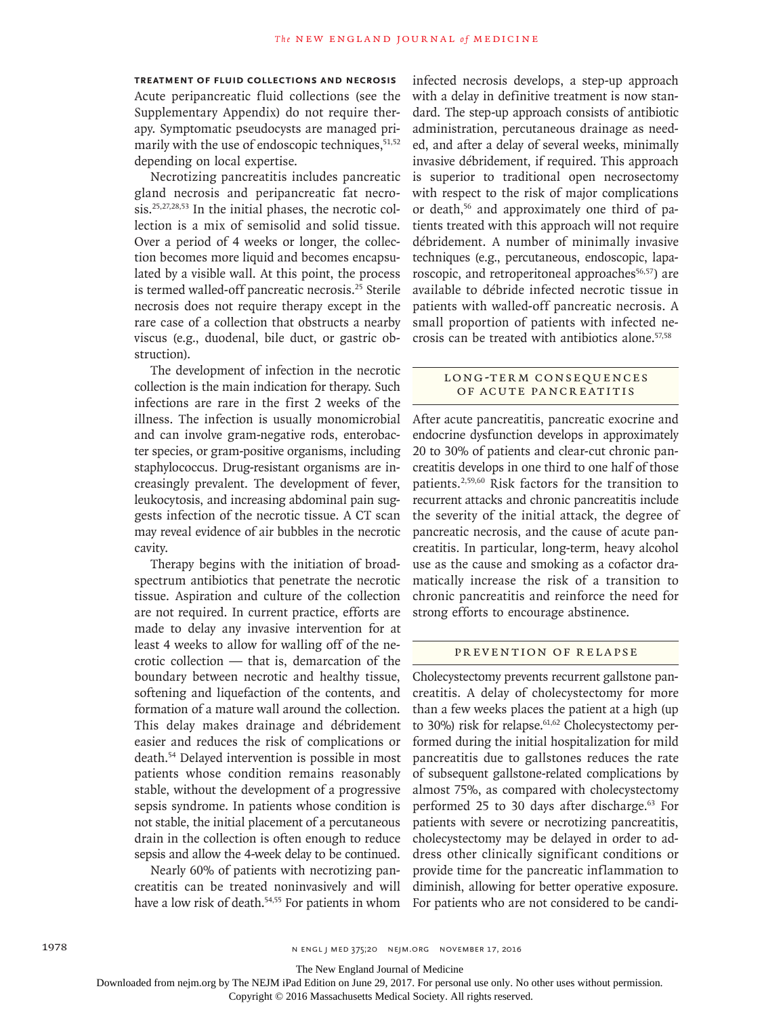**Treatment of Fluid Collections and Necrosis** Acute peripancreatic fluid collections (see the Supplementary Appendix) do not require therapy. Symptomatic pseudocysts are managed primarily with the use of endoscopic techniques, $51,52$ depending on local expertise.

Necrotizing pancreatitis includes pancreatic gland necrosis and peripancreatic fat necrosis.25,27,28,53 In the initial phases, the necrotic collection is a mix of semisolid and solid tissue. Over a period of 4 weeks or longer, the collection becomes more liquid and becomes encapsulated by a visible wall. At this point, the process is termed walled-off pancreatic necrosis.<sup>25</sup> Sterile necrosis does not require therapy except in the rare case of a collection that obstructs a nearby viscus (e.g., duodenal, bile duct, or gastric obstruction).

The development of infection in the necrotic collection is the main indication for therapy. Such infections are rare in the first 2 weeks of the illness. The infection is usually monomicrobial and can involve gram-negative rods, enterobacter species, or gram-positive organisms, including staphylococcus. Drug-resistant organisms are increasingly prevalent. The development of fever, leukocytosis, and increasing abdominal pain suggests infection of the necrotic tissue. A CT scan may reveal evidence of air bubbles in the necrotic cavity.

Therapy begins with the initiation of broadspectrum antibiotics that penetrate the necrotic tissue. Aspiration and culture of the collection are not required. In current practice, efforts are made to delay any invasive intervention for at least 4 weeks to allow for walling off of the necrotic collection — that is, demarcation of the boundary between necrotic and healthy tissue, softening and liquefaction of the contents, and formation of a mature wall around the collection. This delay makes drainage and débridement easier and reduces the risk of complications or death.54 Delayed intervention is possible in most patients whose condition remains reasonably stable, without the development of a progressive sepsis syndrome. In patients whose condition is not stable, the initial placement of a percutaneous drain in the collection is often enough to reduce sepsis and allow the 4-week delay to be continued.

Nearly 60% of patients with necrotizing pancreatitis can be treated noninvasively and will have a low risk of death.<sup>54,55</sup> For patients in whom infected necrosis develops, a step-up approach with a delay in definitive treatment is now standard. The step-up approach consists of antibiotic administration, percutaneous drainage as needed, and after a delay of several weeks, minimally invasive débridement, if required. This approach is superior to traditional open necrosectomy with respect to the risk of major complications or death,56 and approximately one third of patients treated with this approach will not require débridement. A number of minimally invasive techniques (e.g., percutaneous, endoscopic, laparoscopic, and retroperitoneal approaches<sup>56,57</sup>) are available to débride infected necrotic tissue in patients with walled-off pancreatic necrosis. A small proportion of patients with infected necrosis can be treated with antibiotics alone.57,58

### LONG-TERM CONSEQUENCES of Acute Pancreatitis

After acute pancreatitis, pancreatic exocrine and endocrine dysfunction develops in approximately 20 to 30% of patients and clear-cut chronic pancreatitis develops in one third to one half of those patients.2,59,60 Risk factors for the transition to recurrent attacks and chronic pancreatitis include the severity of the initial attack, the degree of pancreatic necrosis, and the cause of acute pancreatitis. In particular, long-term, heavy alcohol use as the cause and smoking as a cofactor dramatically increase the risk of a transition to chronic pancreatitis and reinforce the need for strong efforts to encourage abstinence.

## PREVENTION OF RELAPSE

Cholecystectomy prevents recurrent gallstone pancreatitis. A delay of cholecystectomy for more than a few weeks places the patient at a high (up to 30%) risk for relapse. $61,62$  Cholecystectomy performed during the initial hospitalization for mild pancreatitis due to gallstones reduces the rate of subsequent gallstone-related complications by almost 75%, as compared with cholecystectomy performed 25 to 30 days after discharge.<sup>63</sup> For patients with severe or necrotizing pancreatitis, cholecystectomy may be delayed in order to address other clinically significant conditions or provide time for the pancreatic inflammation to diminish, allowing for better operative exposure. For patients who are not considered to be candi-

The New England Journal of Medicine

Downloaded from nejm.org by The NEJM iPad Edition on June 29, 2017. For personal use only. No other uses without permission.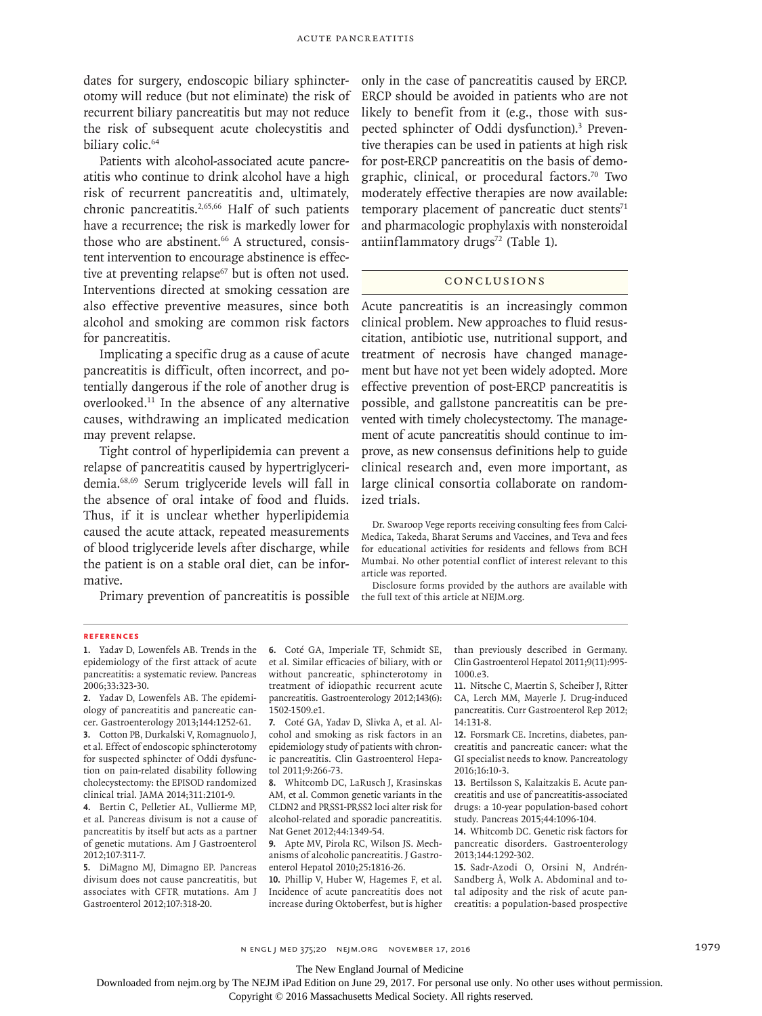dates for surgery, endoscopic biliary sphincterotomy will reduce (but not eliminate) the risk of recurrent biliary pancreatitis but may not reduce the risk of subsequent acute cholecystitis and biliary colic.<sup>64</sup>

Patients with alcohol-associated acute pancreatitis who continue to drink alcohol have a high risk of recurrent pancreatitis and, ultimately, chronic pancreatitis.<sup>2,65,66</sup> Half of such patients have a recurrence; the risk is markedly lower for those who are abstinent.<sup>66</sup> A structured, consistent intervention to encourage abstinence is effective at preventing relapse<sup>67</sup> but is often not used. Interventions directed at smoking cessation are also effective preventive measures, since both alcohol and smoking are common risk factors for pancreatitis.

Implicating a specific drug as a cause of acute pancreatitis is difficult, often incorrect, and potentially dangerous if the role of another drug is overlooked.11 In the absence of any alternative causes, withdrawing an implicated medication may prevent relapse.

Tight control of hyperlipidemia can prevent a relapse of pancreatitis caused by hypertriglyceridemia.68,69 Serum triglyceride levels will fall in the absence of oral intake of food and fluids. Thus, if it is unclear whether hyperlipidemia caused the acute attack, repeated measurements of blood triglyceride levels after discharge, while the patient is on a stable oral diet, can be informative.

Primary prevention of pancreatitis is possible

only in the case of pancreatitis caused by ERCP. ERCP should be avoided in patients who are not likely to benefit from it (e.g., those with suspected sphincter of Oddi dysfunction).<sup>3</sup> Preventive therapies can be used in patients at high risk for post-ERCP pancreatitis on the basis of demographic, clinical, or procedural factors.<sup>70</sup> Two moderately effective therapies are now available: temporary placement of pancreatic duct stents $71$ and pharmacologic prophylaxis with nonsteroidal antiinflammatory drugs<sup>72</sup> (Table 1).

## Conclusions

Acute pancreatitis is an increasingly common clinical problem. New approaches to fluid resuscitation, antibiotic use, nutritional support, and treatment of necrosis have changed management but have not yet been widely adopted. More effective prevention of post-ERCP pancreatitis is possible, and gallstone pancreatitis can be prevented with timely cholecystectomy. The management of acute pancreatitis should continue to improve, as new consensus definitions help to guide clinical research and, even more important, as large clinical consortia collaborate on randomized trials.

Dr. Swaroop Vege reports receiving consulting fees from Calci-Medica, Takeda, Bharat Serums and Vaccines, and Teva and fees for educational activities for residents and fellows from BCH Mumbai. No other potential conflict of interest relevant to this article was reported.

Disclosure forms provided by the authors are available with the full text of this article at NEJM.org.

#### **References**

**1.** Yadav D, Lowenfels AB. Trends in the epidemiology of the first attack of acute pancreatitis: a systematic review. Pancreas 2006;33:323-30.

**2.** Yadav D, Lowenfels AB. The epidemiology of pancreatitis and pancreatic cancer. Gastroenterology 2013;144:1252-61.

**3.** Cotton PB, Durkalski V, Romagnuolo J, et al. Effect of endoscopic sphincterotomy for suspected sphincter of Oddi dysfunction on pain-related disability following cholecystectomy: the EPISOD randomized clinical trial. JAMA 2014;311:2101-9.

**4.** Bertin C, Pelletier AL, Vullierme MP, et al. Pancreas divisum is not a cause of pancreatitis by itself but acts as a partner of genetic mutations. Am J Gastroenterol 2012;107:311-7.

**5.** DiMagno MJ, Dimagno EP. Pancreas divisum does not cause pancreatitis, but associates with CFTR mutations. Am J Gastroenterol 2012;107:318-20.

**6.** Coté GA, Imperiale TF, Schmidt SE, et al. Similar efficacies of biliary, with or without pancreatic, sphincterotomy in treatment of idiopathic recurrent acute pancreatitis. Gastroenterology 2012;143(6): 1502-1509.e1.

**7.** Coté GA, Yadav D, Slivka A, et al. Alcohol and smoking as risk factors in an epidemiology study of patients with chronic pancreatitis. Clin Gastroenterol Hepatol 2011;9:266-73.

**8.** Whitcomb DC, LaRusch J, Krasinskas AM, et al. Common genetic variants in the CLDN2 and PRSS1-PRSS2 loci alter risk for alcohol-related and sporadic pancreatitis. Nat Genet 2012;44:1349-54.

**9.** Apte MV, Pirola RC, Wilson JS. Mechanisms of alcoholic pancreatitis. J Gastroenterol Hepatol 2010;25:1816-26.

**10.** Phillip V, Huber W, Hagemes F, et al. Incidence of acute pancreatitis does not increase during Oktoberfest, but is higher than previously described in Germany. Clin Gastroenterol Hepatol 2011;9(11):995- 1000.e3.

**11.** Nitsche C, Maertin S, Scheiber J, Ritter CA, Lerch MM, Mayerle J. Drug-induced pancreatitis. Curr Gastroenterol Rep 2012; 14:131-8.

**12.** Forsmark CE. Incretins, diabetes, pancreatitis and pancreatic cancer: what the GI specialist needs to know. Pancreatology 2016;16:10-3.

**13.** Bertilsson S, Kalaitzakis E. Acute pancreatitis and use of pancreatitis-associated drugs: a 10-year population-based cohort study. Pancreas 2015;44:1096-104.

**14.** Whitcomb DC. Genetic risk factors for pancreatic disorders. Gastroenterology 2013;144:1292-302.

**15.** Sadr-Azodi O, Orsini N, Andrén-Sandberg Å, Wolk A. Abdominal and total adiposity and the risk of acute pancreatitis: a population-based prospective

n engl j med 375;20 nejm.org November 17, 2016 1979

The New England Journal of Medicine

Downloaded from nejm.org by The NEJM iPad Edition on June 29, 2017. For personal use only. No other uses without permission.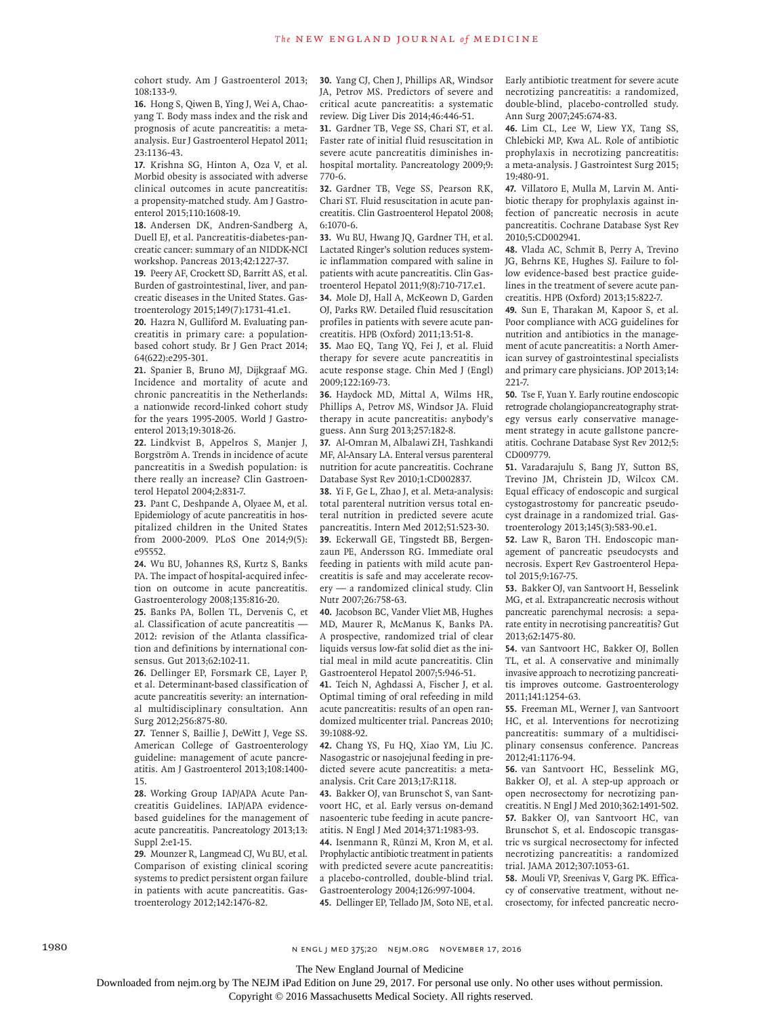cohort study. Am J Gastroenterol 2013; 108:133-9.

**16.** Hong S, Qiwen B, Ying J, Wei A, Chaoyang T. Body mass index and the risk and prognosis of acute pancreatitis: a metaanalysis. Eur J Gastroenterol Hepatol 2011; 23:1136-43.

**17.** Krishna SG, Hinton A, Oza V, et al. Morbid obesity is associated with adverse clinical outcomes in acute pancreatitis: a propensity-matched study. Am J Gastroenterol 2015;110:1608-19.

**18.** Andersen DK, Andren-Sandberg A, Duell EJ, et al. Pancreatitis-diabetes-pancreatic cancer: summary of an NIDDK-NCI workshop. Pancreas 2013;42:1227-37.

**19.** Peery AF, Crockett SD, Barritt AS, et al. Burden of gastrointestinal, liver, and pancreatic diseases in the United States. Gastroenterology 2015;149(7):1731-41.e1.

**20.** Hazra N, Gulliford M. Evaluating pancreatitis in primary care: a populationbased cohort study. Br J Gen Pract 2014; 64(622):e295-301.

**21.** Spanier B, Bruno MJ, Dijkgraaf MG. Incidence and mortality of acute and chronic pancreatitis in the Netherlands: a nationwide record-linked cohort study for the years 1995-2005. World J Gastroenterol 2013;19:3018-26.

**22.** Lindkvist B, Appelros S, Manjer J, Borgström A. Trends in incidence of acute pancreatitis in a Swedish population: is there really an increase? Clin Gastroenterol Hepatol 2004;2:831-7.

**23.** Pant C, Deshpande A, Olyaee M, et al. Epidemiology of acute pancreatitis in hospitalized children in the United States from 2000-2009. PLoS One 2014;9(5): e95552.

**24.** Wu BU, Johannes RS, Kurtz S, Banks PA. The impact of hospital-acquired infection on outcome in acute pancreatitis. Gastroenterology 2008;135:816-20.

**25.** Banks PA, Bollen TL, Dervenis C, et al. Classification of acute pancreatitis — 2012: revision of the Atlanta classification and definitions by international consensus. Gut 2013;62:102-11.

**26.** Dellinger EP, Forsmark CE, Layer P, et al. Determinant-based classification of acute pancreatitis severity: an international multidisciplinary consultation. Ann Surg 2012;256:875-80.

**27.** Tenner S, Baillie J, DeWitt J, Vege SS. American College of Gastroenterology guideline: management of acute pancreatitis. Am J Gastroenterol 2013;108:1400- 15.

**28.** Working Group IAP/APA Acute Pancreatitis Guidelines. IAP/APA evidencebased guidelines for the management of acute pancreatitis. Pancreatology 2013;13: Suppl 2:e1-15.

**29.** Mounzer R, Langmead CJ, Wu BU, et al. Comparison of existing clinical scoring systems to predict persistent organ failure in patients with acute pancreatitis. Gastroenterology 2012;142:1476-82.

**30.** Yang CJ, Chen J, Phillips AR, Windsor JA, Petrov MS. Predictors of severe and critical acute pancreatitis: a systematic review. Dig Liver Dis 2014;46:446-51.

**31.** Gardner TB, Vege SS, Chari ST, et al. Faster rate of initial fluid resuscitation in severe acute pancreatitis diminishes inhospital mortality. Pancreatology 2009;9: 770-6.

**32.** Gardner TB, Vege SS, Pearson RK, Chari ST. Fluid resuscitation in acute pancreatitis. Clin Gastroenterol Hepatol 2008; 6:1070-6.

**33.** Wu BU, Hwang JQ, Gardner TH, et al. Lactated Ringer's solution reduces systemic inflammation compared with saline in patients with acute pancreatitis. Clin Gastroenterol Hepatol 2011;9(8):710-717.e1.

**34.** Mole DJ, Hall A, McKeown D, Garden OJ, Parks RW. Detailed fluid resuscitation profiles in patients with severe acute pancreatitis. HPB (Oxford) 2011;13:51-8.

**35.** Mao EQ, Tang YQ, Fei J, et al. Fluid therapy for severe acute pancreatitis in acute response stage. Chin Med J (Engl) 2009;122:169-73.

**36.** Haydock MD, Mittal A, Wilms HR, Phillips A, Petrov MS, Windsor JA. Fluid therapy in acute pancreatitis: anybody's guess. Ann Surg 2013;257:182-8.

**37.** Al-Omran M, Albalawi ZH, Tashkandi MF, Al-Ansary LA. Enteral versus parenteral nutrition for acute pancreatitis. Cochrane Database Syst Rev 2010;1:CD002837.

**38.** Yi F, Ge L, Zhao J, et al. Meta-analysis: total parenteral nutrition versus total enteral nutrition in predicted severe acute pancreatitis. Intern Med 2012;51:523-30. **39.** Eckerwall GE, Tingstedt BB, Bergenzaun PE, Andersson RG. Immediate oral feeding in patients with mild acute pancreatitis is safe and may accelerate recovery — a randomized clinical study. Clin Nutr 2007;26:758-63.

**40.** Jacobson BC, Vander Vliet MB, Hughes MD, Maurer R, McManus K, Banks PA. A prospective, randomized trial of clear liquids versus low-fat solid diet as the initial meal in mild acute pancreatitis. Clin Gastroenterol Hepatol 2007;5:946-51.

**41.** Teich N, Aghdassi A, Fischer J, et al. Optimal timing of oral refeeding in mild acute pancreatitis: results of an open randomized multicenter trial. Pancreas 2010; 39:1088-92.

**42.** Chang YS, Fu HQ, Xiao YM, Liu JC. Nasogastric or nasojejunal feeding in predicted severe acute pancreatitis: a metaanalysis. Crit Care 2013;17:R118.

**43.** Bakker OJ, van Brunschot S, van Santvoort HC, et al. Early versus on-demand nasoenteric tube feeding in acute pancreatitis. N Engl J Med 2014;371:1983-93.

**44.** Isenmann R, Rünzi M, Kron M, et al. Prophylactic antibiotic treatment in patients with predicted severe acute pancreatitis: a placebo-controlled, double-blind trial. Gastroenterology 2004;126:997-1004.

**45.** Dellinger EP, Tellado JM, Soto NE, et al.

Early antibiotic treatment for severe acute necrotizing pancreatitis: a randomized, double-blind, placebo-controlled study. Ann Surg 2007;245:674-83.

**46.** Lim CL, Lee W, Liew YX, Tang SS, Chlebicki MP, Kwa AL. Role of antibiotic prophylaxis in necrotizing pancreatitis: a meta-analysis. J Gastrointest Surg 2015; 19:480-91.

**47.** Villatoro E, Mulla M, Larvin M. Antibiotic therapy for prophylaxis against infection of pancreatic necrosis in acute pancreatitis. Cochrane Database Syst Rev 2010;5:CD002941.

**48.** Vlada AC, Schmit B, Perry A, Trevino JG, Behrns KE, Hughes SJ. Failure to follow evidence-based best practice guidelines in the treatment of severe acute pancreatitis. HPB (Oxford) 2013;15:822-7.

**49.** Sun E, Tharakan M, Kapoor S, et al. Poor compliance with ACG guidelines for nutrition and antibiotics in the management of acute pancreatitis: a North American survey of gastrointestinal specialists and primary care physicians. JOP 2013;14: 221-7.

**50.** Tse F, Yuan Y. Early routine endoscopic retrograde cholangiopancreatography strategy versus early conservative management strategy in acute gallstone pancreatitis. Cochrane Database Syst Rev 2012;5: CD009779.

**51.** Varadarajulu S, Bang JY, Sutton BS, Trevino JM, Christein JD, Wilcox CM. Equal efficacy of endoscopic and surgical cystogastrostomy for pancreatic pseudocyst drainage in a randomized trial. Gastroenterology 2013;145(3):583-90.e1.

**52.** Law R, Baron TH. Endoscopic management of pancreatic pseudocysts and necrosis. Expert Rev Gastroenterol Hepatol 2015;9:167-75.

**53.** Bakker OJ, van Santvoort H, Besselink MG, et al. Extrapancreatic necrosis without pancreatic parenchymal necrosis: a separate entity in necrotising pancreatitis? Gut 2013;62:1475-80.

**54.** van Santvoort HC, Bakker OJ, Bollen TL, et al. A conservative and minimally invasive approach to necrotizing pancreatitis improves outcome. Gastroenterology 2011;141:1254-63.

**55.** Freeman ML, Werner J, van Santvoort HC, et al. Interventions for necrotizing pancreatitis: summary of a multidisciplinary consensus conference. Pancreas 2012;41:1176-94.

**56.** van Santvoort HC, Besselink MG, Bakker OJ, et al. A step-up approach or open necrosectomy for necrotizing pancreatitis. N Engl J Med 2010;362:1491-502. **57.** Bakker OJ, van Santvoort HC, van Brunschot S, et al. Endoscopic transgastric vs surgical necrosectomy for infected necrotizing pancreatitis: a randomized trial. JAMA 2012;307:1053-61.

**58.** Mouli VP, Sreenivas V, Garg PK. Efficacy of conservative treatment, without necrosectomy, for infected pancreatic necro-

1980 **n engl j med 375;20 NEMGL j med 375;20 NEJM.ORG NOVEMBER 17, 2016** 

The New England Journal of Medicine

Downloaded from nejm.org by The NEJM iPad Edition on June 29, 2017. For personal use only. No other uses without permission.